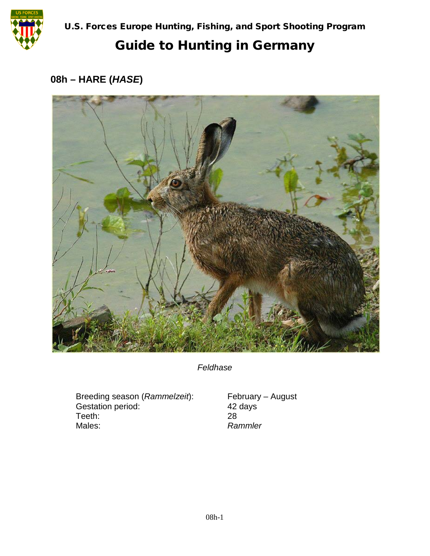

U.S. Forces Europe Hunting, Fishing, and Sport Shooting Program

## Guide to Hunting in Germany

## **08h – HARE (***HASE***)**



*Feldhase*

Breeding season (*Rammelzeit*): February – August<br>Gestation period: 42 days Gestation period: 42<br>Teeth: 28 Teeth:<br>Males:

 $Rammler$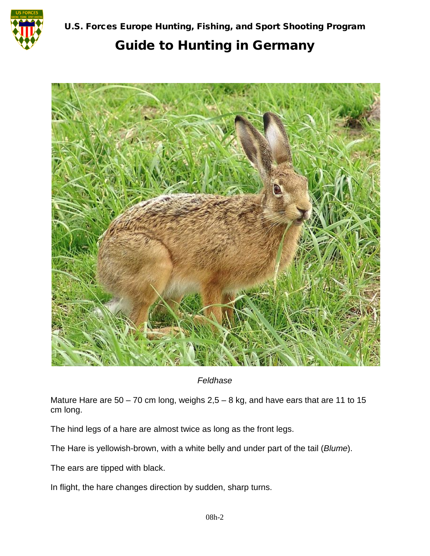

U.S. Forces Europe Hunting, Fishing, and Sport Shooting Program

## Guide to Hunting in Germany



*Feldhase*

Mature Hare are  $50 - 70$  cm long, weighs  $2,5 - 8$  kg, and have ears that are 11 to 15 cm long.

The hind legs of a hare are almost twice as long as the front legs.

The Hare is yellowish-brown, with a white belly and under part of the tail (*Blume*).

The ears are tipped with black.

In flight, the hare changes direction by sudden, sharp turns.